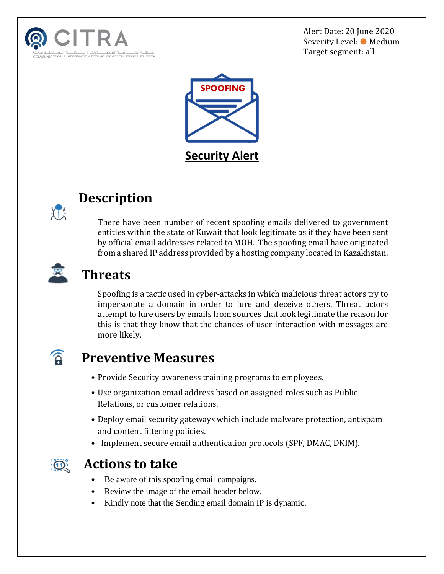



### **Security Alert**



# **Description**

There have been number of recent spoofing emails delivered to government entities within the state of Kuwait that look legitimate as if they have been sent by official email addresses related to MOH. The spoofing email have originated from a shared IP address provided by a hosting company located in Kazakhstan.

# **Threats**

Spoofing is a tactic used in cyber-attacks in which malicious threat actors try to impersonate a domain in order to lure and deceive others. Threat actors attempt to lure users by emails from sources that look legitimate the reason for this is that they know that the chances of user interaction with messages are more likely.



## **Preventive Measures**

- Provide Security awareness training programs to employees.
- Use organization email address based on assigned roles such as Public Relations, or customer relations.
- Deploy email security gateways which include malware protection, antispam and content filtering policies.
- Implement secure email authentication protocols (SPF, DMAC, DKIM).



#### **Actions to take**

- Be aware of this spoofing email campaigns.
- Review the image of the email header below.
- Kindly note that the Sending email domain IP is dynamic.